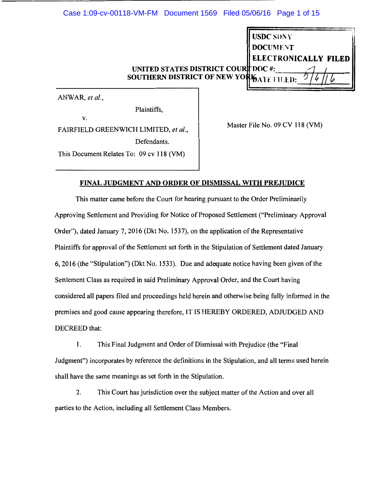UNITED STATES DISTRICT CO SOUTHERN DISTRICT OF NEW YO RONICALLY FILED  $\bigcirc^{\text{DOC}}$  #:  $\bigcirc^{\text{4}}$ l&Al E Fii.ti>: ?~/I?

ANWAR, *et al.,* 

v.

Plaintiffs,

FAIRFIELD GREENWICH LIMITED, *et al.,*  Defendants.

This Document Relates To: 09 cv 118 (VM)

Master File No. 09 CV 118 (VM)

ISDC SDNY DOCUMEN**T** 

# FINAL JUDGMENT AND ORDER OF DISMISSAL WITH PREJUDICE

This matter came before the Court for hearing pursuant to the Order Preliminarily Approving Settlement and Providing for Notice of Proposed Settlement ("Preliminary Approval Order"), dated January 7, 2016 (Dkt No. 1537), on the application of the Representative Plaintiffs for approval of the Settlement set forth in the Stipulation of Settlement dated January 6, 2016 (the "Stipulation") (Dkt No. 1533). Due and adequate notice having been given of the Settlement Class as required in said Preliminary Approval Order, and the Court having considered all papers filed and proceedings held herein and otherwise being fully informed in the premises and good cause appearing therefore, IT IS HEREBY ORDERED, ADJUDGED AND DECREED that:

1. This Final Judgment and Order of Dismissal with Prejudice (the "Final Judgment") incorporates by reference the definitions in the Stipulation, and all terms used herein shall have the same meanings as set forth in the Stipulation.

2. This Court has jurisdiction over the subject matter of the Action and over all parties to the Action, including all Settlement Class Members.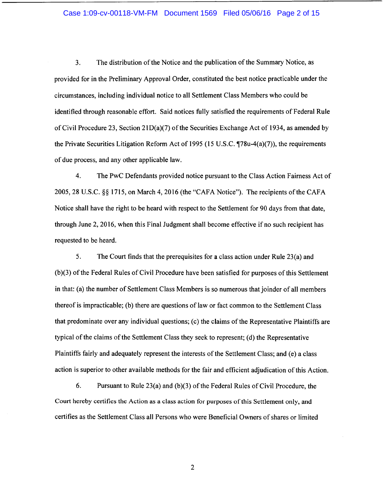#### Case 1:09-cv-00118-VM-FM Document 1569 Filed 05/06/16 Page 2 of 15

3. The distribution of the Notice and the publication of the Summary Notice, as provided for in the Preliminary Approval Order, constituted the best notice practicable under the circumstances, including individual notice to all Settlement Class Members who could be identified through reasonable effort. Said notices fully satisfied the requirements of Federal Rule of Civil Procedure 23, Section 21D(a)(7) of the Securities Exchange Act of 1934, as amended by the Private Securities Litigation Reform Act of 1995 (15 U.S.C.  $\P$ 78u-4(a)(7)), the requirements of due process, and any other applicable law.

4. The PwC Defendants provided notice pursuant to the Class Action Fairness Act of 2005, 28 U.S.C. §§ 1715, on March 4, 2016 (the "CAFA Notice"). The recipients ofthe CAFA Notice shall have the right to be heard with respect to the Settlement for 90 days from that date, through June 2, 2016, when this Final Judgment shall become effective if no such recipient has requested to be heard.

5. The Court finds that the prerequisites for a class action under Rule 23(a) and (b)(3) of the Federal Rules of Civil Procedure have been satisfied for purposes of this Settlement in that: (a) the number of Settlement Class Members is so numerous that joinder of all members thereof is impracticable; (b) there are questions of law or fact common to the Settlement Class that predominate over any individual questions; ( c) the claims of the Representative Plaintiffs are typical of the claims of the Settlement Class they seek to represent; (d) the Representative Plaintiffs fairly and adequately represent the interests of the Settlement Class; and (e) a class action is superior to other available methods for the fair and efficient adjudication of this Action.

6. Pursuant to Rule 23(a) and (b)(3) of the Federal Rules of Civil Procedure, the Court hereby certifies the Action as a class action for purposes of this Settlement only, and certifies as the Settlement Class all Persons who were Beneficial Owners of shares or limited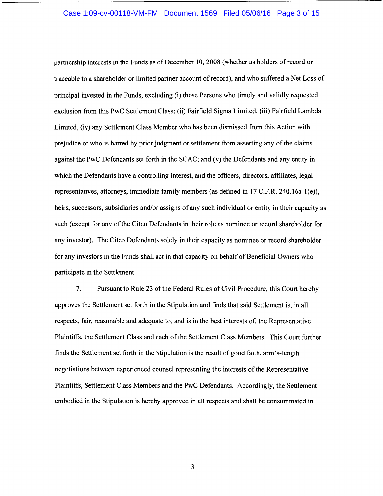### Case 1:09-cv-00118-VM-FM Document 1569 Filed 05/06/16 Page 3 of 15

partnership interests in the Funds as of December 10, 2008 (whether as holders ofrecord or traceable to a shareholder or limited partner account of record), and who suffered a Net Loss of principal invested in the Funds, excluding (i) those Persons who timely and validly requested exclusion from this PwC Settlement Class; (ii) Fairfield Sigma Limited, (iii) Fairfield Lambda Limited, (iv) any Settlement Class Member who has been dismissed from this Action with prejudice or who is barred by prior judgment or settlement from asserting any of the claims against the PwC Defendants set forth in the SCAC; and (v) the Defendants and any entity in which the Defendants have a controlling interest, and the officers, directors, affiliates, legal representatives, attorneys, immediate family members (as defined in 17 C.F.R. 240.16a-l(e)), heirs, successors, subsidiaries and/or assigns of any such individual or entity in their capacity as such (except for any of the Citco Defendants in their role as nominee or record shareholder for any investor). The Citco Defendants solely in their capacity as nominee or record shareholder for any investors in the Funds shall act in that capacity on behalf of Beneficial Owners who participate in the Settlement.

7. Pursuant to Rule 23 of the Federal Rules of Civil Procedure, this Court hereby approves the Settlement set forth in the Stipulation and finds that said Settlement is, in all respects, fair, reasonable and adequate to, and is in the best interests of, the Representative Plaintiffs, the Settlement Class and each of the Settlement Class Members. This Court further finds the Settlement set forth in the Stipulation is the result of good faith, arm's-length negotiations between experienced counsel representing the interests of the Representative Plaintiffs, Settlement Class Members and the PwC Defendants. Accordingly, the Settlement embodied in the Stipulation is hereby approved in all respects and shall be consummated in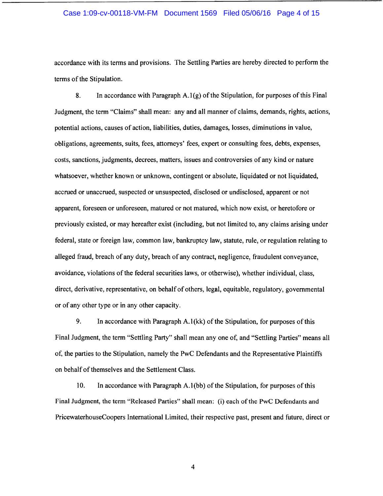#### Case 1:09-cv-00118-VM-FM Document 1569 Filed 05/06/16 Page 4 of 15

accordance with its terms and provisions. The Settling Parties are hereby directed to perform the terms of the Stipulation.

8. In accordance with Paragraph  $A.1(g)$  of the Stipulation, for purposes of this Final Judgment, the term "Claims" shall mean: any and all manner of claims, demands, rights, actions, potential actions, causes of action, liabilities, duties, damages, losses, diminutions in value, obligations, agreements, suits, fees, attorneys' fees, expert or consulting fees, debts, expenses, costs, sanctions, judgments, decrees, matters, issues and controversies of any kind or nature whatsoever, whether known or unknown, contingent or absolute, liquidated or not liquidated, accrued or unaccrued, suspected or unsuspected, disclosed or undisclosed, apparent or not apparent, foreseen or unforeseen, matured or not matured, which now exist, or heretofore or previously existed, or may hereafter exist (including, but not limited to, any claims arising under federal, state or foreign law, common law, bankruptcy law, statute, rule, or regulation relating to alleged fraud, breach of any duty, breach of any contract, negligence, fraudulent conveyance, avoidance, violations of the federal securities laws, or otherwise), whether individual, class, direct, derivative, representative, on behalf of others, legal, equitable, regulatory, governmental or of any other type or in any other capacity.

9. In accordance with Paragraph A.1 (kk) of the Stipulation, for purposes of this Final Judgment, the term "Settling Party" shall mean any one of, and "Settling Parties" means all of, the parties to the Stipulation, namely the PwC Defendants and the Representative Plaintiffs on behalf of themselves and the Settlement Class.

10. In accordance with Paragraph A.l(bb) of the Stipulation, for purposes of this Final Judgment, the term "Released Parties" shall mean: (i) each of the PwC Defendants and PricewaterhouseCoopers International Limited, their respective past, present and future, direct or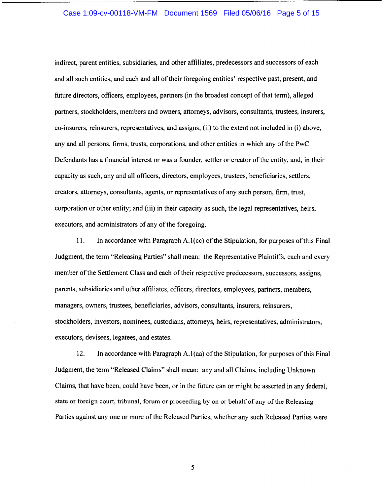## Case 1:09-cv-00118-VM-FM Document 1569 Filed 05/06/16 Page 5 of 15

indirect, parent entities, subsidiaries, and other affiliates, predecessors and successors of each and all such entities, and each and all of their foregoing entities' respective past, present, and future directors, officers, employees, partners (in the broadest concept of that term), alleged partners, stockholders, members and owners, attorneys, advisors, consultants, trustees, insurers, co-insurers, reinsurers, representatives, and assigns; (ii) to the extent not included in (i) above, any and all persons, firms, trusts, corporations, and other entities in which any of the PwC Defendants has a financial interest or was a founder, settler or creator of the entity, and, in their capacity as such, any and all officers, directors, employees, trustees, beneficiaries, settlers, creators, attorneys, consultants, agents, or representatives of any such person, firm, trust, corporation or other entity; and (iii) in their capacity as such, the legal representatives, heirs, executors, and administrators of any of the foregoing.

11. In accordance with Paragraph A.l(cc) of the Stipulation, for purposes of this Final Judgment, the term "Releasing Parties" shall mean: the Representative Plaintiffs, each and every member of the Settlement Class and each of their respective predecessors, successors, assigns, parents, subsidiaries and other affiliates, officers, directors, employees, partners, members, managers, owners, trustees, beneficiaries, advisors, consultants, insurers, reinsurers, stockholders, investors, nominees, custodians, attorneys, heirs, representatives, administrators, executors, devisees, legatees, and estates.

12. In accordance with Paragraph A.l(aa) of the Stipulation, for purposes of this Final Judgment, the term "Released Claims" shall mean: any and all Claims, including Unknown Claims, that have been, could have been, or in the future can or might be asserted in any federal, state or foreign court, tribunal, forum or proceeding by on or behalf of any of the Releasing Parties against any one or more of the Released Parties, whether any such Released Parties were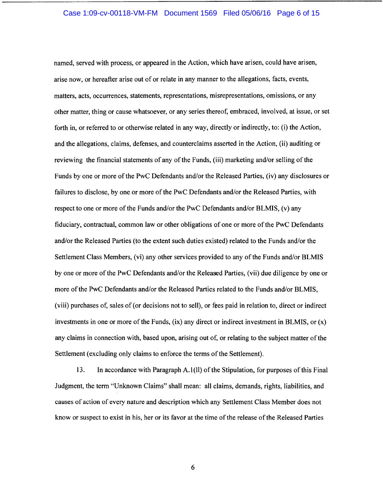#### Case 1:09-cv-00118-VM-FM Document 1569 Filed 05/06/16 Page 6 of 15

named, served with process, or appeared in the Action, which have arisen, could have arisen, arise now, or hereafter arise out of or relate in any manner to the allegations, facts, events, matters, acts, occurrences, statements, representations, misrepresentations, omissions, or any other matter, thing or cause whatsoever, or any series thereof, embraced, involved, at issue, or set forth in, or referred to or otherwise related in any way, directly or indirectly, to: (i) the Action, and the allegations, claims, defenses, and counterclaims asserted in the Action, (ii) auditing or reviewing the financial statements of any of the Funds, (iii) marketing and/or selling of the Funds by one or more of the PwC Defendants and/or the Released Parties, (iv) any disclosures or failures to disclose, by one or more of the PwC Defendants and/or the Released Parties, with respect to one or more of the Funds and/or the PwC Defendants and/or BLMIS, (v) any fiduciary, contractual, common law or other obligations of one or more of the PwC Defendants and/or the Released Parties (to the extent such duties existed) related to the Funds and/or the Settlement Class Members, (vi) any other services provided to any of the Funds and/or BLMIS by one or more of the PwC Defendants and/or the Released Parties, (vii) due diligence by one or more of the PwC Defendants and/or the Released Parties related to the Funds and/or BLMIS, (viii) purchases of, sales of (or decisions not to sell), or fees paid in relation to, direct or indirect investments in one or more of the Funds,  $(ix)$  any direct or indirect investment in BLMIS, or  $(x)$ any claims in connection with, based upon, arising out of, or relating to the subject matter of the Settlement (excluding only claims to enforce the terms of the Settlement).

13. In accordance with Paragraph A.1 (II) of the Stipulation, for purposes of this Final Judgment, the term "Unknown Claims" shall mean: all claims, demands, rights, liabilities, and causes of action of every nature and description which any Settlement Class Member does not know or suspect to exist in his, her or its favor at the time of the release of the Released Parties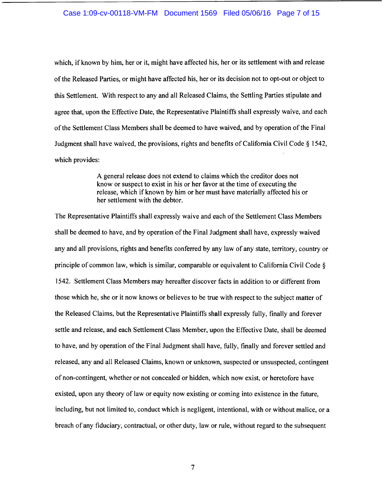#### Case 1:09-cv-00118-VM-FM Document 1569 Filed 05/06/16 Page 7 of 15

which, if known by him, her or it, might have affected his, her or its settlement with and release of the Released Parties, or might have affected his, her or its decision not to opt-out or object to this Settlement. With respect to any and all Released Claims, the Settling Parties stipulate and agree that, upon the Effective Date, the Representative Plaintiffs shall expressly waive, and each of the Settlement Class Members shall be deemed to have waived, and by operation of the Final Judgment shall have waived, the provisions, rights and benefits of California Civil Code§ 1542, which provides:

> A general release does not extend to claims which the creditor does not know or suspect to exist in his or her favor at the time of executing the release, which if known by him or her must have materially affected his or her settlement with the debtor.

The Representative Plaintiffs shall expressly waive and each of the Settlement Class Members shall be deemed to have, and by operation of the Final Judgment shall have, expressly waived any and all provisions, rights and benefits conferred by any law of any state, territory, country or principle of common law, which is similar, comparable or equivalent to California Civil Code § 1542. Settlement Class Members may hereafter discover facts in addition to or different from those which he, she or it now knows or believes to be true with respect to the subject matter of the Released Claims, but the Representative Plaintiffs shall expressly fully, finally and forever settle and release, and each Settlement Class Member, upon the Effective Date, shall be deemed to have, and by operation of the Final Judgment shall have, fully, finally and forever settled and released, any and all Released Claims, known or unknown, suspected or unsuspected, contingent of non-contingent, whether or not concealed or hidden, which now exist, or heretofore have existed, upon any theory of law or equity now existing or coming into existence in the future, including, but not limited to, conduct which is negligent, intentional, with or without malice, or a breach of any fiduciary, contractual, or other duty, law or rule, without regard to the subsequent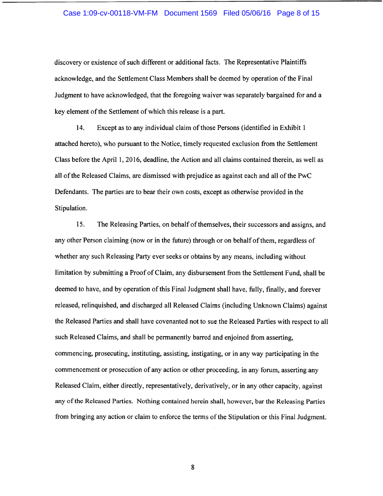#### Case 1:09-cv-00118-VM-FM Document 1569 Filed 05/06/16 Page 8 of 15

discovery or existence of such different or additional facts. The Representative Plaintiffs acknowledge, and the Settlement Class Members shall be deemed by operation of the Final Judgment to have acknowledged, that the foregoing waiver was separately bargained for and a key element of the Settlement of which this release is a part.

14. Except as to any individual claim of those Persons (identified in Exhibit 1 attached hereto), who pursuant to the Notice, timely requested exclusion from the Settlement Class before the April 1, 2016, deadline, the Action and all claims contained therein, as well as all of the Released Claims, are dismissed with prejudice as against each and all of the PwC Defendants. The parties are to bear their own costs, except as otherwise provided in the Stipulation.

15. The Releasing Parties, on behalf of themselves, their successors and assigns, and any other Person claiming (now or in the future) through or on behalf of them, regardless of whether any such Releasing Party ever seeks or obtains by any means, including without limitation by submitting a Proof of Claim, any disbursement from the Settlement Fund, shall be deemed to have, and by operation of this Final Judgment shall have, fully, finally, and forever released, relinquished, and discharged all Released Claims (including Unknown Claims) against the Released Parties and shall have covenanted not to sue the Released Parties with respect to all such Released Claims, and shall be permanently barred and enjoined from asserting, commencing, prosecuting, instituting, assisting, instigating, or in any way participating in the commencement or prosecution of any action or other proceeding, in any forum, asserting any Released Claim, either directly, representatively, derivatively, or in any other capacity, against any of the Released Parties. Nothing contained herein shall, however, bar the Releasing Parties from bringing any action or claim to enforce the terms of the Stipulation or this Final Judgment.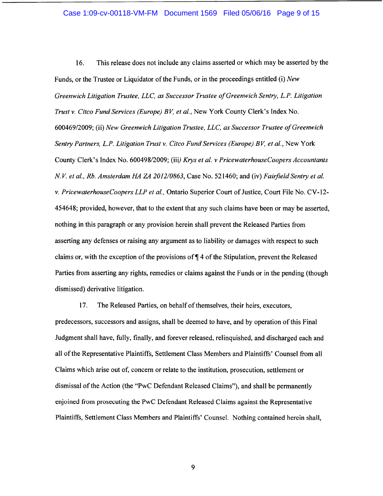## Case 1:09-cv-00118-VM-FM Document 1569 Filed 05/06/16 Page 9 of 15

16. This release does not include any claims asserted or which may be asserted by the Funds, or the Trustee or Liquidator of the Funds, or in the proceedings entitled (i) *New Greenwich Litigation Trustee, LLC, as Successor Trustee of Greenwich Sentry, L.P. Litigation Trust v. Citco Fund Services (Europe) BV, et al.,* New York County Clerk's Index No. 600469/2009; (ii) *New Greenwich Litigation Trustee, LLC, as Successor Trustee of Greenwich Sentry Partners, L.P. Litigation Trust v. Citco Fund Services (Europe) BV, et al.,* New York County Clerk's Index No. 600498/2009; (iii) *Krys et al. v PricewaterhouseCoopers Accountants N.V. et al., Rb. Amsterdam HA ZA 2012/0863, Case No. 521460; and (iv) Fairfield Sentry et al. v. PricewaterhouseCoopers LLP et al.,* Ontario Superior Court of Justice, Court File No. CV-12- 454648; provided, however, that to the extent that any such claims have been or may be asserted, nothing in this paragraph or any provision herein shall prevent the Released Parties from asserting any defenses or raising any argument as to liability or damages with respect to such claims or, with the exception of the provisions of  $\P$  4 of the Stipulation, prevent the Released Parties from asserting any rights, remedies or claims against the Funds or in the pending (though dismissed) derivative litigation.

17. The Released Parties, on behalf of themselves, their heirs, executors, predecessors, successors and assigns, shall be deemed to have, and by operation of this Final Judgment shall have, fully, finally, and forever released, relinquished, and discharged each and all of the Representative Plaintiffs, Settlement Class Members and Plaintiffs' Counsel from all Claims which arise out of, concern or relate to the institution, prosecution, settlement or dismissal of the Action (the "PwC Defendant Released Claims"), and shall be permanently enjoined from prosecuting the PwC Defendant Released Claims against the Representative Plaintiffs, Settlement Class Members and Plaintiffs' Counsel. Nothing contained herein shall,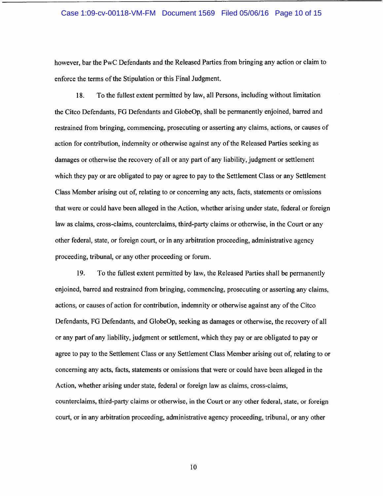#### Case 1:09-cv-00118-VM-FM Document 1569 Filed 05/06/16 Page 10 of 15

however, bar the PwC Defendants and the Released Parties from bringing any action or claim to enforce the terms of the Stipulation or this Final Judgment.

18. To the fullest extent permitted by law, all Persons, including without limitation the Citco Defendants, FG Defendants and GlobeOp, shall be permanently enjoined, barred and restrained from bringing, commencing, prosecuting or asserting any claims, actions, or causes of action for contribution, indemnity or otherwise against any of the Released Parties seeking as damages or otherwise the recovery of all or any part of any liability, judgment or settlement which they pay or are obligated to pay or agree to pay to the Settlement Class or any Settlement Class Member arising out of, relating to or concerning any acts, facts, statements or omissions that were or could have been alleged in the Action, whether arising under state, federal or foreign law as claims, cross-claims, counterclaims, third-party claims or otherwise, in the Court or any other federal, state, or foreign court, or in any arbitration proceeding, administrative agency proceeding, tribunal, or any other proceeding or forum.

19. To the fullest extent permitted by law, the Released Parties shall be permanently enjoined, barred and restrained from bringing, commencing, prosecuting or asserting any claims, actions, or causes of action for contribution, indemnity or otherwise against any of the Citco Defendants, FG Defendants, and GlobeOp, seeking as damages or otherwise, the recovery of all or any part of any liability, judgment or settlement, which they pay or are obligated to pay or agree to pay to the Settlement Class or any Settlement Class Member arising out of, relating to or concerning any acts, facts, statements or omissions that were or could have been alleged in the Action, whether arising under state, federal or foreign law as claims, cross-claims, counterclaims, third-party claims or otherwise, in the Court or any other federal, state, or foreign court, or in any arbitration proceeding, administrative agency proceeding, tribunal, or any other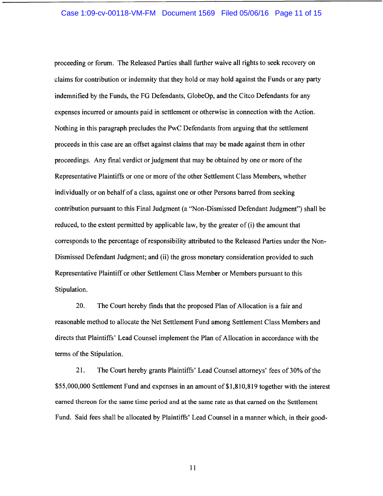# Case 1:09-cv-00118-VM-FM Document 1569 Filed 05/06/16 Page 11 of 15

proceeding or forum. The Released Parties shall further waive all rights to seek recovery on claims for contribution or indemnity that they hold or may hold against the Funds or any party indemnified by the Funds, the FG Defendants, GlobeOp, and the Citco Defendants for any expenses incurred or amounts paid in settlement or otherwise in connection with the Action. Nothing in this paragraph precludes the PwC Defendants from arguing that the settlement proceeds in this case are an offset against claims that may be made against them in other proceedings. Any final verdict or judgment that may be obtained by one or more of the Representative Plaintiffs or one or more of the other Settlement Class Members, whether individually or on behalf of a class, against one or other Persons barred from seeking contribution pursuant to this Final Judgment (a "Non-Dismissed Defendant Judgment") shall be reduced, to the extent permitted by applicable law, by the greater of (i) the amount that corresponds to the percentage ofresponsibility attributed to the Released Parties under the Non-Dismissed Defendant Judgment; and (ii) the gross monetary consideration provided to such Representative Plaintiff or other Settlement Class Member or Members pursuant to this Stipulation.

20. The Court hereby finds that the proposed Plan of Allocation is a fair and reasonable method to allocate the Net Settlement Fund among Settlement Class Members and directs that Plaintiffs' Lead Counsel implement the Plan of Allocation in accordance with the terms of the Stipulation.

21. The Court hereby grants Plaintiffs' Lead Counsel attorneys' fees of 30% of the \$55,000,000 Settlement Fund and expenses in an amount of \$1,810,819 together with the interest earned thereon for the same time period and at the same rate as that earned on the Settlement Fund. Said fees shall be allocated by Plaintiffs' Lead Counsel in a manner which, in their good-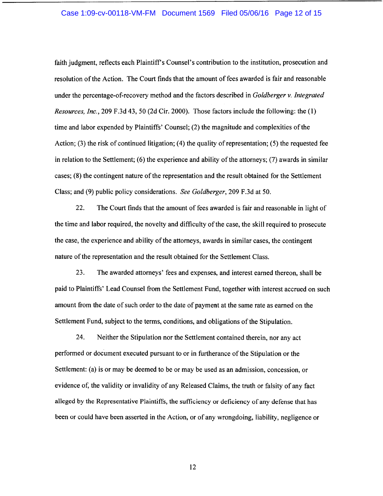# Case 1:09-cv-00118-VM-FM Document 1569 Filed 05/06/16 Page 12 of 15

faith judgment, reflects each Plaintiff's Counsel's contribution to the institution, prosecution and resolution of the Action. The Court finds that the amount of fees awarded is fair and reasonable under the percentage-of-recovery method and the factors described in *Goldberger v. Integrated Resources, Inc.,* 209 F.3d 43, 50 (2d Cir. 2000). Those factors include the following: the (1) time and labor expended by Plaintiffs' Counsel; (2) the magnitude and complexities of the Action; (3) the risk of continued litigation; (4) the quality of representation; (5) the requested fee in relation to the Settlement; (6) the experience and ability of the attorneys; (7) awards in similar cases; (8) the contingent nature of the representation and the result obtained for the Settlement Class; and (9) public policy considerations. *See Goldberger,* 209 F.3d at 50.

22. The Court finds that the amount of fees awarded is fair and reasonable in light of the time and labor required, the novelty and difficulty of the case, the skill required to prosecute the case, the experience and ability of the attorneys, awards in similar cases, the contingent nature of the representation and the result obtained for the Settlement Class.

23. The awarded attorneys' fees and expenses, and interest earned thereon, shall be paid to Plaintiffs' Lead Counsel from the Settlement Fund, together with interest accrued on such amount from the date of such order to the date of payment at the same rate as earned on the Settlement Fund, subject to the terms, conditions, and obligations of the Stipulation.

24. Neither the Stipulation nor the Settlement contained therein, nor any act performed or document executed pursuant to or in furtherance of the Stipulation or the Settlement: (a) is or may be deemed to be or may be used as an admission, concession, or evidence of, the validity or invalidity of any Released Claims, the truth or falsity of any fact alleged by the Representative Plaintiffs, the sufficiency or deficiency of any defense that has been or could have been asserted in the Action, or of any wrongdoing, liability, negligence or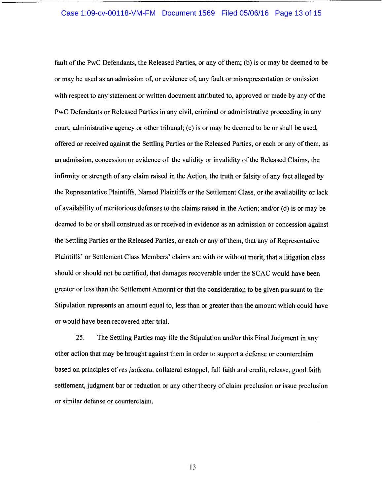# Case 1:09-cv-00118-VM-FM Document 1569 Filed 05/06/16 Page 13 of 15

fault of the PwC Defendants, the Released Parties, or any of them; (b) is or may be deemed to be or may be used as an admission of, or evidence of, any fault or misrepresentation or omission with respect to any statement or written document attributed to, approved or made by any of the PwC Defendants or Released Parties in any civil, criminal or administrative proceeding in any court, administrative agency or other tribunal; (c) is or may be deemed to be or shall be used, offered or received against the Settling Parties or the Released Parties, or each or any of them, as an admission, concession or evidence of the validity or invalidity of the Released Claims, the infirmity or strength of any claim raised in the Action, the truth or falsity of any fact alleged by the Representative Plaintiffs, Named Plaintiffs or the Settlement Class, or the availability or lack of availability of meritorious defenses to the claims raised in the Action; and/or ( d) is or may be deemed to be or shall construed as or received in evidence as an admission or concession against the Settling Parties or the Released Parties, or each or any of them, that any of Representative Plaintiffs' or Settlement Class Members' claims are with or without merit, that a litigation class should or should not be certified, that damages recoverable under the SCAC would have been greater or less than the Settlement Amount or that the consideration to be given pursuant to the Stipulation represents an amount equal to, less than or greater than the amount which could have or would have been recovered after trial.

25. The Settling Parties may file the Stipulation and/or this Final Judgment in any other action that may be brought against them in order to support a defense or counterclaim based on principles of *res judicata,* collateral estoppel, full faith and credit, release, good faith settlement, judgment bar or reduction or any other theory of claim preclusion or issue preclusion or similar defense or counterclaim.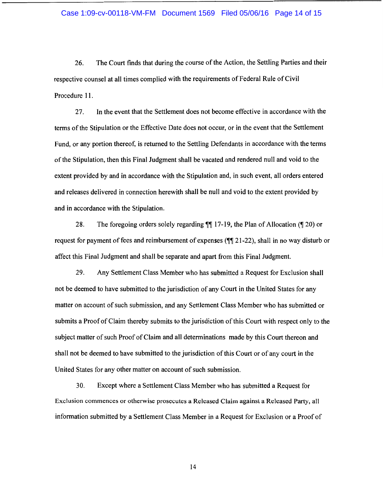### Case 1:09-cv-00118-VM-FM Document 1569 Filed 05/06/16 Page 14 of 15

26. The Court finds that during the course of the Action, the Settling Parties and their respective counsel at all times complied with the requirements of Federal Rule of Civil Procedure 11.

27. In the event that the Settlement does not become effective in accordance with the terms of the Stipulation or the Effective Date does not occur, or in the event that the Settlement Fund, or any portion thereof, is returned to the Settling Defendants in accordance with the terms of the Stipulation, then this Final Judgment shall be vacated and rendered null and void to the extent provided by and in accordance with the Stipulation and, in such event, all orders entered and releases delivered in connection herewith shall be null and void to the extent provided by and in accordance with the Stipulation.

28. The foregoing orders solely regarding  $\P\P$  17-19, the Plan of Allocation ( $\P$  20) or request for payment of fees and reimbursement of expenses  $(\P\P 21-22)$ , shall in no way disturb or affect this Final Judgment and shall be separate and apart from this Final Judgment.

29. Any Settlement Class Member who has submitted a Request for Exclusion shall not be deemed to have submitted to the jurisdiction of any Court in the United States for any matter on account of such submission, and any Settlement Class Member who has submitted or submits a Proof of Claim thereby submits to the jurisdiction of this Court with respect only to the subject matter of such Proof of Claim and all determinations made by this Court thereon and shall not be deemed to have submitted to the jurisdiction of this Court or of any court in the United States for any other matter on account of such submission.

30. Except where a Settlement Class Member who has submitted a Request for Exclusion commences or otherwise prosecutes a Released Claim against a Released Party, all information submitted by a Settlement Class Member in a Request for Exclusion or a Proof of